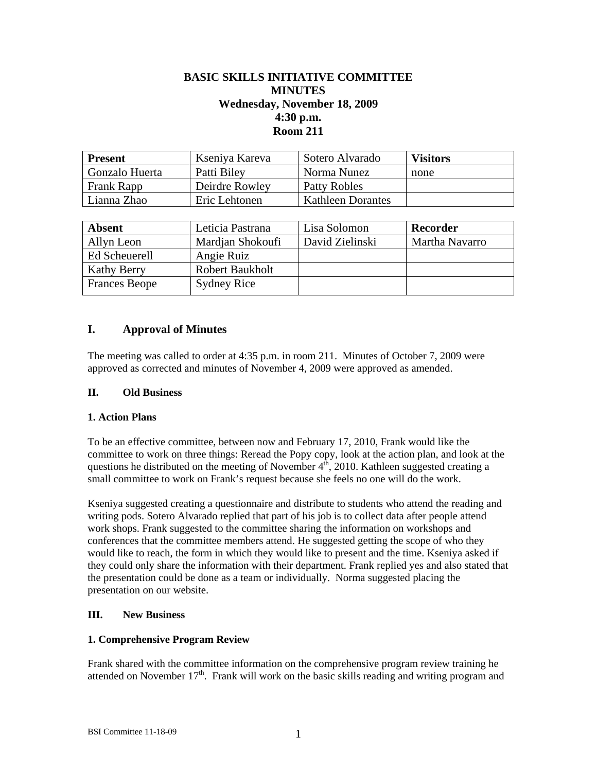# **BASIC SKILLS INITIATIVE COMMITTEE MINUTES Wednesday, November 18, 2009 4:30 p.m. Room 211**

| <b>Present</b> | Kseniya Kareva | Sotero Alvarado          | <b>Visitors</b> |
|----------------|----------------|--------------------------|-----------------|
| Gonzalo Huerta | Patti Biley    | Norma Nunez              | none            |
| Frank Rapp     | Deirdre Rowley | Patty Robles             |                 |
| Lianna Zhao    | Eric Lehtonen  | <b>Kathleen Dorantes</b> |                 |

| <b>Absent</b>        | Leticia Pastrana       | Lisa Solomon    | Recorder       |
|----------------------|------------------------|-----------------|----------------|
| Allyn Leon           | Mardian Shokoufi       | David Zielinski | Martha Navarro |
| Ed Scheuerell        | Angie Ruiz             |                 |                |
| <b>Kathy Berry</b>   | <b>Robert Baukholt</b> |                 |                |
| <b>Frances Beope</b> | <b>Sydney Rice</b>     |                 |                |

## **I. Approval of Minutes**

The meeting was called to order at 4:35 p.m. in room 211. Minutes of October 7, 2009 were approved as corrected and minutes of November 4, 2009 were approved as amended.

#### **II. Old Business**

#### **1. Action Plans**

To be an effective committee, between now and February 17, 2010, Frank would like the committee to work on three things: Reread the Popy copy, look at the action plan, and look at the questions he distributed on the meeting of November  $4<sup>th</sup>$ , 2010. Kathleen suggested creating a small committee to work on Frank's request because she feels no one will do the work.

Kseniya suggested creating a questionnaire and distribute to students who attend the reading and writing pods. Sotero Alvarado replied that part of his job is to collect data after people attend work shops. Frank suggested to the committee sharing the information on workshops and conferences that the committee members attend. He suggested getting the scope of who they would like to reach, the form in which they would like to present and the time. Kseniya asked if they could only share the information with their department. Frank replied yes and also stated that the presentation could be done as a team or individually. Norma suggested placing the presentation on our website.

#### **III. New Business**

#### **1. Comprehensive Program Review**

Frank shared with the committee information on the comprehensive program review training he attended on November  $17<sup>th</sup>$ . Frank will work on the basic skills reading and writing program and